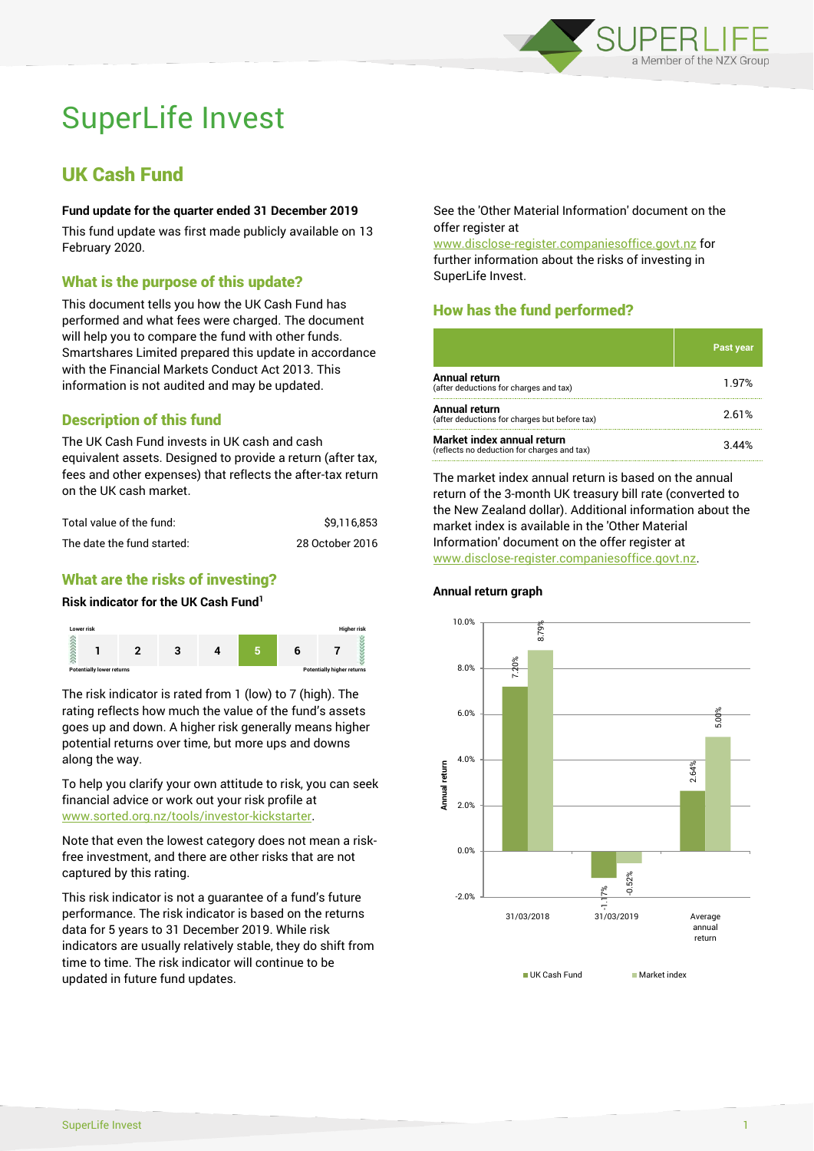

# SuperLife Invest

## UK Cash Fund

#### **Fund update for the quarter ended 31 December 2019**

This fund update was first made publicly available on 13 February 2020.

### What is the purpose of this update?

This document tells you how the UK Cash Fund has performed and what fees were charged. The document will help you to compare the fund with other funds. Smartshares Limited prepared this update in accordance with the Financial Markets Conduct Act 2013. This information is not audited and may be updated.

## Description of this fund

The UK Cash Fund invests in UK cash and cash equivalent assets. Designed to provide a return (after tax, fees and other expenses) that reflects the after-tax return on the UK cash market.

| Total value of the fund:   | \$9.116.853     |
|----------------------------|-----------------|
| The date the fund started: | 28 October 2016 |

## What are the risks of investing?

#### **Risk indicator for the UK Cash Fund<sup>1</sup>**



The risk indicator is rated from 1 (low) to 7 (high). The rating reflects how much the value of the fund's assets goes up and down. A higher risk generally means higher potential returns over time, but more ups and downs along the way.

To help you clarify your own attitude to risk, you can seek financial advice or work out your risk profile at [www.sorted.org.nz/tools/investor-kickstarter.](http://www.sorted.org.nz/tools/investor-kickstarter)

Note that even the lowest category does not mean a riskfree investment, and there are other risks that are not captured by this rating.

This risk indicator is not a guarantee of a fund's future performance. The risk indicator is based on the returns data for 5 years to 31 December 2019. While risk indicators are usually relatively stable, they do shift from time to time. The risk indicator will continue to be updated in future fund updates.

See the 'Other Material Information' document on the offer register at

www.disclose-register.companiesoffice.govt.nz for further information about the risks of investing in SuperLife Invest.

## How has the fund performed?

|                                                                           | <b>Past year</b> |
|---------------------------------------------------------------------------|------------------|
| Annual return<br>(after deductions for charges and tax)                   | 1.97%            |
| Annual return<br>(after deductions for charges but before tax)            | 2.61%            |
| Market index annual return<br>(reflects no deduction for charges and tax) |                  |

The market index annual return is based on the annual return of the 3-month UK treasury bill rate (converted to the New Zealand dollar). Additional information about the market index is available in the 'Other Material Information' document on the offer register at www.disclose-register.companiesoffice.govt.nz.



#### **Annual return graph**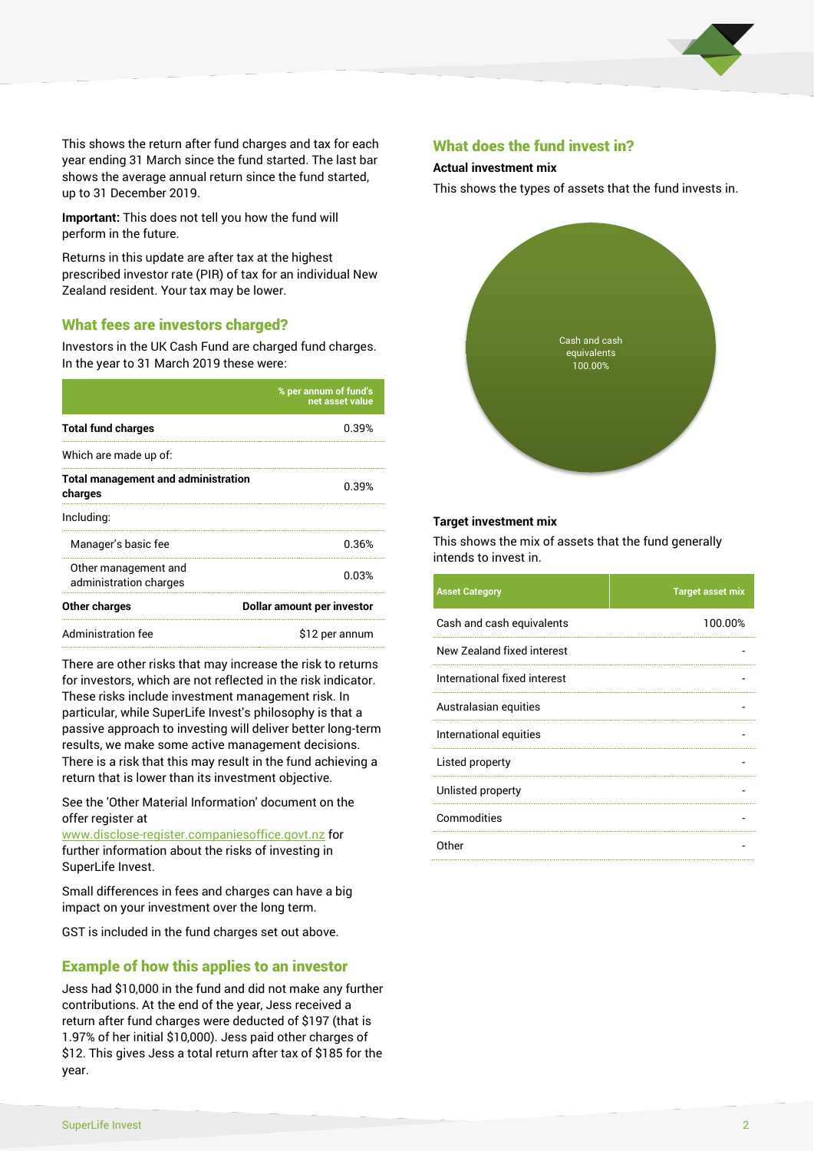

This shows the return after fund charges and tax for each year ending 31 March since the fund started. The last bar shows the average annual return since the fund started, up to 31 December 2019.

**Important:** This does not tell you how the fund will perform in the future.

Returns in this update are after tax at the highest prescribed investor rate (PIR) of tax for an individual New Zealand resident. Your tax may be lower.

#### What fees are investors charged?

Investors in the UK Cash Fund are charged fund charges. In the year to 31 March 2019 these were:

|                                                       | % per annum of fund's<br>net asset value |  |
|-------------------------------------------------------|------------------------------------------|--|
| <b>Total fund charges</b>                             | 0.39%                                    |  |
| Which are made up of:                                 |                                          |  |
| <b>Total management and administration</b><br>charges | 0.39%                                    |  |
| Including:                                            |                                          |  |
| Manager's basic fee                                   | 0.36%                                    |  |
| Other management and<br>administration charges        | 0.03%                                    |  |
| <b>Other charges</b>                                  | Dollar amount per investor               |  |
| Administration fee                                    | \$12 per annum                           |  |

There are other risks that may increase the risk to returns for investors, which are not reflected in the risk indicator. These risks include investment management risk. In particular, while SuperLife Invest's philosophy is that a passive approach to investing will deliver better long-term results, we make some active management decisions. There is a risk that this may result in the fund achieving a return that is lower than its investment objective.

See the 'Other Material Information' document on the offer register at

www.disclose-register.companiesoffice.govt.nz for further information about the risks of investing in SuperLife Invest.

Small differences in fees and charges can have a big impact on your investment over the long term.

GST is included in the fund charges set out above.

#### Example of how this applies to an investor

Jess had \$10,000 in the fund and did not make any further contributions. At the end of the year, Jess received a return after fund charges were deducted of \$197 (that is 1.97% of her initial \$10,000). Jess paid other charges of \$12. This gives Jess a total return after tax of \$185 for the year.

#### What does the fund invest in?

#### **Actual investment mix**

This shows the types of assets that the fund invests in.



#### **Target investment mix**

This shows the mix of assets that the fund generally intends to invest in.

| <b>Asset Category</b>        | <b>Target asset mix</b> |
|------------------------------|-------------------------|
| Cash and cash equivalents    | 100.00%                 |
| New Zealand fixed interest   |                         |
| International fixed interest |                         |
| Australasian equities        |                         |
| International equities       |                         |
| Listed property              |                         |
| Unlisted property            |                         |
| Commodities                  |                         |
| Other                        |                         |